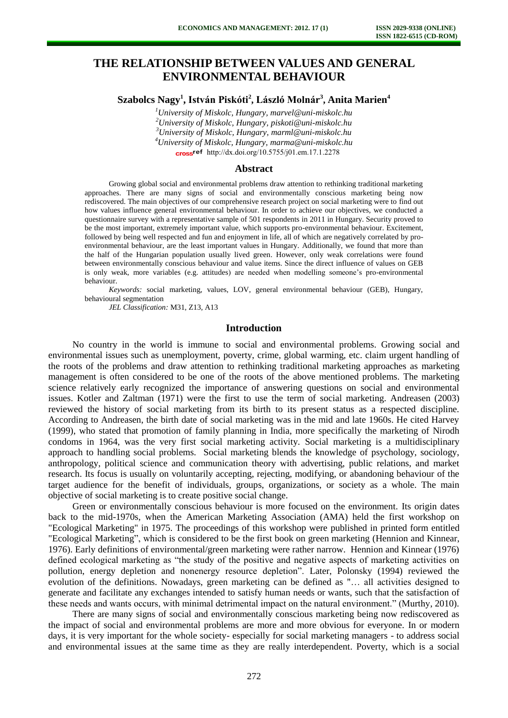# **THE RELATIONSHIP BETWEEN VALUES AND GENERAL ENVIRONMENTAL BEHAVIOUR**

## **Szabolcs Nagy<sup>1</sup> , István Piskóti<sup>2</sup> , László Molnár<sup>3</sup> , Anita Marien<sup>4</sup>**

*University of Miskolc, Hungary, marvel@uni-miskolc.hu University of Miskolc, Hungary, piskoti@uni-miskolc.hu University of Miskolc, Hungary, marml@uni-miskolc.hu University of Miskolc, Hungary, marma@uni-miskolc.hu* cross<sup>ref</sup> [http://dx.doi.org/10.5755/j01.e](http://dx.doi.org/10.5755/j01.em.17.1.2278)m.17.1.2278

#### **Abstract**

Growing global social and environmental problems draw attention to rethinking traditional marketing approaches. There are many signs of social and environmentally conscious marketing being now rediscovered. The main objectives of our comprehensive research project on social marketing were to find out how values influence general environmental behaviour. In order to achieve our objectives, we conducted a questionnaire survey with a representative sample of 501 respondents in 2011 in Hungary. Security proved to be the most important, extremely important value, which supports pro-environmental behaviour. Excitement, followed by being well respected and fun and enjoyment in life, all of which are negatively correlated by proenvironmental behaviour, are the least important values in Hungary. Additionally, we found that more than the half of the Hungarian population usually lived green. However, only weak correlations were found between environmentally conscious behaviour and value items. Since the direct influence of values on GEB is only weak, more variables (e.g. attitudes) are needed when modelling someone's pro-environmental behaviour.

*Keywords:* social marketing, values, LOV, general environmental behaviour (GEB), Hungary, behavioural segmentation

*JEL Classification:* M31, Z13, A13

#### **Introduction**

No country in the world is immune to social and environmental problems. Growing social and environmental issues such as unemployment, poverty, crime, global warming, etc. claim urgent handling of the roots of the problems and draw attention to rethinking traditional marketing approaches as marketing management is often considered to be one of the roots of the above mentioned problems. The marketing science relatively early recognized the importance of answering questions on social and environmental issues. Kotler and Zaltman (1971) were the first to use the term of social marketing. Andreasen (2003) reviewed the history of social marketing from its birth to its present status as a respected discipline. According to Andreasen, the birth date of social marketing was in the mid and late 1960s. He cited Harvey (1999), who stated that promotion of family planning in India, more specifically the marketing of Nirodh condoms in 1964, was the very first social marketing activity. Social marketing is a multidisciplinary approach to handling social problems. Social marketing blends the knowledge of psychology, sociology, anthropology, political science and communication theory with advertising, public relations, and market research. Its focus is usually on voluntarily accepting, rejecting, modifying, or abandoning behaviour of the target audience for the benefit of individuals, groups, organizations, or society as a whole. The main objective of social marketing is to create positive social change.

Green or environmentally conscious behaviour is more focused on the environment. Its origin dates back to the mid-1970s, when the American Marketing Association (AMA) held the first workshop on "Ecological Marketing" in 1975. The proceedings of this workshop were published in printed form entitled "Ecological Marketing", which is considered to be the first book on green marketing (Hennion and Kinnear, 1976). Early definitions of environmental/green marketing were rather narrow. Hennion and Kinnear (1976) defined ecological marketing as "the study of the positive and negative aspects of marketing activities on pollution, energy depletion and nonenergy resource depletion". Later, Polonsky (1994) reviewed the evolution of the definitions. Nowadays, green marketing can be defined as "… all activities designed to generate and facilitate any exchanges intended to satisfy human needs or wants, such that the satisfaction of these needs and wants occurs, with minimal detrimental impact on the natural environment." (Murthy, 2010).

There are many signs of social and environmentally conscious marketing being now rediscovered as the impact of social and environmental problems are more and more obvious for everyone. In or modern days, it is very important for the whole society- especially for social marketing managers - to address social and environmental issues at the same time as they are really interdependent. Poverty, which is a social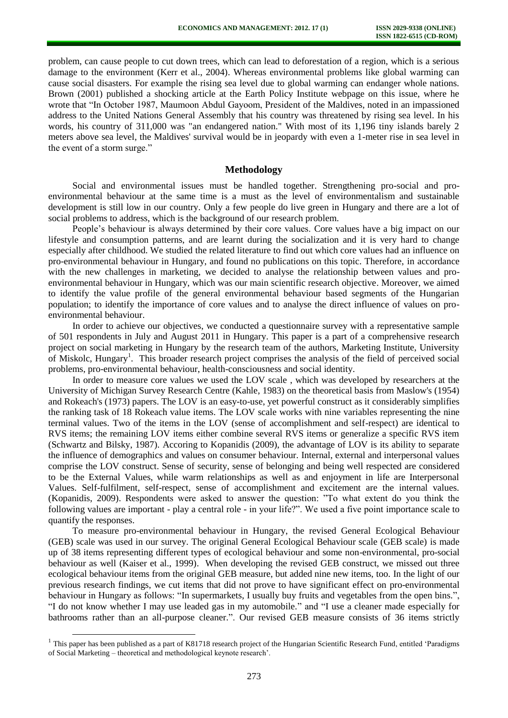problem, can cause people to cut down trees, which can lead to deforestation of a region, which is a serious damage to the environment (Kerr et al., 2004). Whereas environmental problems like global warming can cause social disasters. For example the rising sea level due to global warming can endanger whole nations. Brown (2001) published a shocking article at the Earth Policy Institute webpage on this issue, where he wrote that "In October 1987, Maumoon Abdul Gayoom, President of the Maldives, noted in an impassioned address to the United Nations General Assembly that his country was threatened by rising sea level. In his words, his country of 311,000 was "an endangered nation." With most of its 1,196 tiny islands barely 2 meters above sea level, the Maldives' survival would be in jeopardy with even a 1-meter rise in sea level in the event of a storm surge."

#### **Methodology**

Social and environmental issues must be handled together. Strengthening pro-social and proenvironmental behaviour at the same time is a must as the level of environmentalism and sustainable development is still low in our country. Only a few people do live green in Hungary and there are a lot of social problems to address, which is the background of our research problem.

People's behaviour is always determined by their core values. Core values have a big impact on our lifestyle and consumption patterns, and are learnt during the socialization and it is very hard to change especially after childhood. We studied the related literature to find out which core values had an influence on pro-environmental behaviour in Hungary, and found no publications on this topic. Therefore, in accordance with the new challenges in marketing, we decided to analyse the relationship between values and proenvironmental behaviour in Hungary, which was our main scientific research objective. Moreover, we aimed to identify the value profile of the general environmental behaviour based segments of the Hungarian population; to identify the importance of core values and to analyse the direct influence of values on proenvironmental behaviour.

In order to achieve our objectives, we conducted a questionnaire survey with a representative sample of 501 respondents in July and August 2011 in Hungary. This paper is a part of a comprehensive research project on social marketing in Hungary by the research team of the authors, Marketing Institute, University of Miskolc, Hungary<sup>1</sup>. This broader research project comprises the analysis of the field of perceived social problems, pro-environmental behaviour, health-consciousness and social identity.

In order to measure core values we used the LOV scale , which was developed by researchers at the University of Michigan Survey Research Centre (Kahle, 1983) on the theoretical basis from Maslow's (1954) and Rokeach's (1973) papers. The LOV is an easy-to-use, yet powerful construct as it considerably simplifies the ranking task of 18 Rokeach value items. The LOV scale works with nine variables representing the nine terminal values. Two of the items in the LOV (sense of accomplishment and self-respect) are identical to RVS items; the remaining LOV items either combine several RVS items or generalize a specific RVS item (Schwartz and Bilsky, 1987). Accoring to Kopanidis (2009), the advantage of LOV is its ability to separate the influence of demographics and values on consumer behaviour. Internal, external and interpersonal values comprise the LOV construct. Sense of security, sense of belonging and being well respected are considered to be the External Values, while warm relationships as well as and enjoyment in life are Interpersonal Values. Self-fulfilment, self-respect, sense of accomplishment and excitement are the internal values. (Kopanidis, 2009). Respondents were asked to answer the question: "To what extent do you think the following values are important - play a central role - in your life?". We used a five point importance scale to quantify the responses.

To measure pro-environmental behaviour in Hungary, the revised General Ecological Behaviour (GEB) scale was used in our survey. The original General Ecological Behaviour scale (GEB scale) is made up of 38 items representing different types of ecological behaviour and some non-environmental, pro-social behaviour as well (Kaiser et al., 1999). When developing the revised GEB construct, we missed out three ecological behaviour items from the original GEB measure, but added nine new items, too. In the light of our previous research findings, we cut items that did not prove to have significant effect on pro-environmental behaviour in Hungary as follows: "In supermarkets, I usually buy fruits and vegetables from the open bins.", "I do not know whether I may use leaded gas in my automobile." and "I use a cleaner made especially for bathrooms rather than an all-purpose cleaner.". Our revised GEB measure consists of 36 items strictly

l

<sup>&</sup>lt;sup>1</sup> This paper has been published as a part of K81718 research project of the Hungarian Scientific Research Fund, entitled 'Paradigms of Social Marketing – theoretical and methodological keynote research'.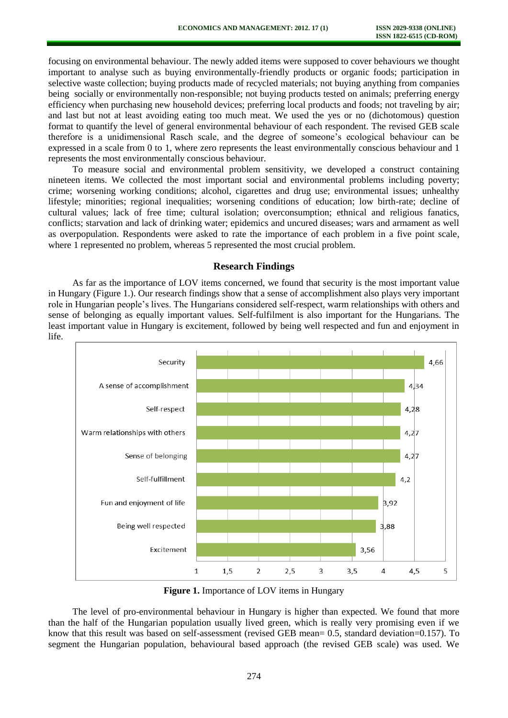focusing on environmental behaviour. The newly added items were supposed to cover behaviours we thought important to analyse such as buying environmentally-friendly products or organic foods; participation in selective waste collection; buying products made of recycled materials; not buying anything from companies being socially or environmentally non-responsible; not buying products tested on animals; preferring energy efficiency when purchasing new household devices; preferring local products and foods; not traveling by air; and last but not at least avoiding eating too much meat. We used the yes or no (dichotomous) question format to quantify the level of general environmental behaviour of each respondent. The revised GEB scale therefore is a unidimensional Rasch scale, and the degree of someone's ecological behaviour can be expressed in a scale from 0 to 1, where zero represents the least environmentally conscious behaviour and 1 represents the most environmentally conscious behaviour.

To measure social and environmental problem sensitivity, we developed a construct containing nineteen items. We collected the most important social and environmental problems including poverty; crime; worsening working conditions; alcohol, cigarettes and drug use; environmental issues; unhealthy lifestyle; minorities; regional inequalities; worsening conditions of education; low birth-rate; decline of cultural values; lack of free time; cultural isolation; overconsumption; ethnical and religious fanatics, conflicts; starvation and lack of drinking water; epidemics and uncured diseases; wars and armament as well as overpopulation. Respondents were asked to rate the importance of each problem in a five point scale, where 1 represented no problem, whereas 5 represented the most crucial problem.

#### **Research Findings**

As far as the importance of LOV items concerned, we found that security is the most important value in Hungary (Figure 1.). Our research findings show that a sense of accomplishment also plays very important role in Hungarian people's lives. The Hungarians considered self-respect, warm relationships with others and sense of belonging as equally important values. Self-fulfilment is also important for the Hungarians. The least important value in Hungary is excitement, followed by being well respected and fun and enjoyment in life.



**Figure 1.** Importance of LOV items in Hungary

The level of pro-environmental behaviour in Hungary is higher than expected. We found that more than the half of the Hungarian population usually lived green, which is really very promising even if we know that this result was based on self-assessment (revised GEB mean= 0.5, standard deviation=0.157). To segment the Hungarian population, behavioural based approach (the revised GEB scale) was used. We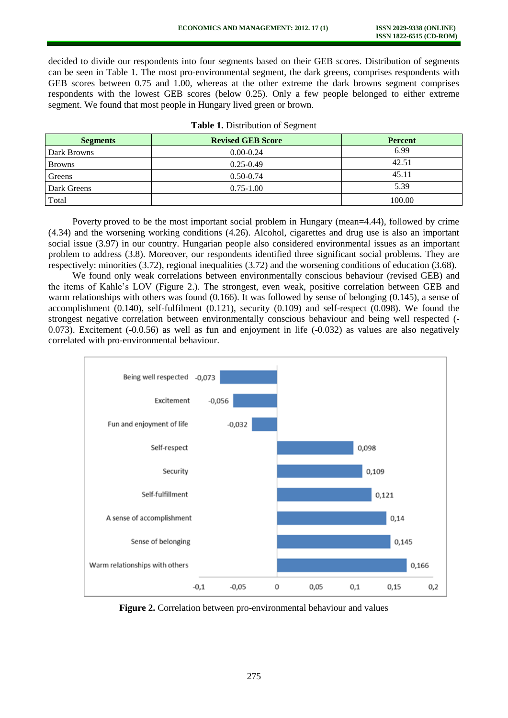decided to divide our respondents into four segments based on their GEB scores. Distribution of segments can be seen in Table 1. The most pro-environmental segment, the dark greens, comprises respondents with GEB scores between 0.75 and 1.00, whereas at the other extreme the dark browns segment comprises respondents with the lowest GEB scores (below 0.25). Only a few people belonged to either extreme segment. We found that most people in Hungary lived green or brown.

| <b>Segments</b> | <b>Revised GEB Score</b> | <b>Percent</b> |
|-----------------|--------------------------|----------------|
| Dark Browns     | $0.00 - 0.24$            | 6.99           |
| <b>Browns</b>   | $0.25 - 0.49$            | 42.51          |
| Greens          | $0.50 - 0.74$            | 45.11          |
| Dark Greens     | $0.75 - 1.00$            | 5.39           |
| Total           |                          | 100.00         |

|  | <b>Table 1.</b> Distribution of Segment |  |
|--|-----------------------------------------|--|
|--|-----------------------------------------|--|

Poverty proved to be the most important social problem in Hungary (mean=4.44), followed by crime (4.34) and the worsening working conditions (4.26). Alcohol, cigarettes and drug use is also an important social issue (3.97) in our country. Hungarian people also considered environmental issues as an important problem to address (3.8). Moreover, our respondents identified three significant social problems. They are respectively: minorities (3.72), regional inequalities (3.72) and the worsening conditions of education (3.68).

We found only weak correlations between environmentally conscious behaviour (revised GEB) and the items of Kahle's LOV (Figure 2.). The strongest, even weak, positive correlation between GEB and warm relationships with others was found (0.166). It was followed by sense of belonging (0.145), a sense of accomplishment (0.140), self-fulfilment (0.121), security (0.109) and self-respect (0.098). We found the strongest negative correlation between environmentally conscious behaviour and being well respected (- 0.073). Excitement (-0.0.56) as well as fun and enjoyment in life (-0.032) as values are also negatively correlated with pro-environmental behaviour.



Figure 2. Correlation between pro-environmental behaviour and values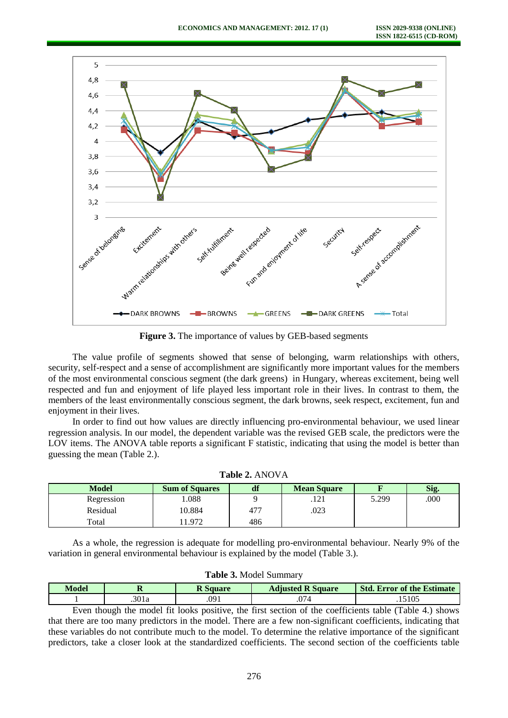

**Figure 3.** The importance of values by GEB-based segments

The value profile of segments showed that sense of belonging, warm relationships with others, security, self-respect and a sense of accomplishment are significantly more important values for the members of the most environmental conscious segment (the dark greens) in Hungary, whereas excitement, being well respected and fun and enjoyment of life played less important role in their lives. In contrast to them, the members of the least environmentally conscious segment, the dark browns, seek respect, excitement, fun and enjoyment in their lives.

In order to find out how values are directly influencing pro-environmental behaviour, we used linear regression analysis. In our model, the dependent variable was the revised GEB scale, the predictors were the LOV items. The ANOVA table reports a significant F statistic, indicating that using the model is better than guessing the mean (Table 2.).

| -------------- |                       |     |                    |       |      |  |  |  |
|----------------|-----------------------|-----|--------------------|-------|------|--|--|--|
| <b>Model</b>   | <b>Sum of Squares</b> |     | <b>Mean Square</b> |       | Sig. |  |  |  |
| Regression     | .088                  |     | .                  | 5.299 | .000 |  |  |  |
| Residual       | 10.884                | 477 | .023               |       |      |  |  |  |
| Total          | .972                  | 486 |                    |       |      |  |  |  |

| Table 2. ANOVA |  |
|----------------|--|
|----------------|--|

As a whole, the regression is adequate for modelling pro-environmental behaviour. Nearly 9% of the variation in general environmental behaviour is explained by the model (Table 3.).

| Model | .    | Square | <b>R</b> Square<br><b>Adjusted</b> | <b>Std. Error of the Estimate</b> |
|-------|------|--------|------------------------------------|-----------------------------------|
|       | 301a | .091   | ∼<br>.v. 1 -                       | 5105                              |

**Table 3.** Model Summary

Even though the model fit looks positive, the first section of the coefficients table (Table 4.) shows that there are too many predictors in the model. There are a few non-significant coefficients, indicating that these variables do not contribute much to the model. To determine the relative importance of the significant predictors, take a closer look at the standardized coefficients. The second section of the coefficients table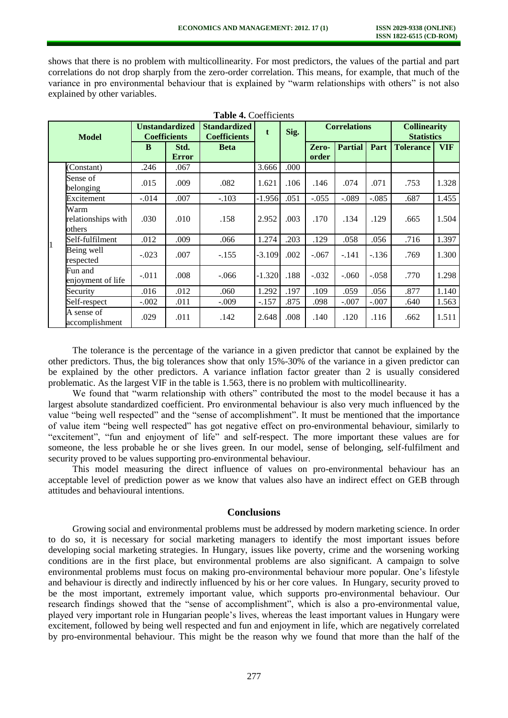shows that there is no problem with multicollinearity. For most predictors, the values of the partial and part correlations do not drop sharply from the zero-order correlation. This means, for example, that much of the variance in pro environmental behaviour that is explained by "warm relationships with others" is not also explained by other variables.

| <b>Table 4. Coefficients</b>         |                                              |                      |                                                 |          |                     |                |                                          |         |                  |            |
|--------------------------------------|----------------------------------------------|----------------------|-------------------------------------------------|----------|---------------------|----------------|------------------------------------------|---------|------------------|------------|
| <b>Model</b>                         | <b>Unstandardized</b><br><b>Coefficients</b> |                      | <b>Standardized</b><br>t<br><b>Coefficients</b> | Sig.     | <b>Correlations</b> |                | <b>Collinearity</b><br><b>Statistics</b> |         |                  |            |
|                                      | B                                            | Std.<br><b>Error</b> | <b>Beta</b>                                     |          |                     | Zero-<br>order | <b>Partial</b>                           | Part    | <b>Tolerance</b> | <b>VIF</b> |
| (Constant)                           | .246                                         | .067                 |                                                 | 3.666    | .000                |                |                                          |         |                  |            |
| Sense of<br>belonging                | .015                                         | .009                 | .082                                            | 1.621    | .106                | .146           | .074                                     | .071    | .753             | 1.328      |
| Excitement                           | $-.014$                                      | .007                 | $-.103$                                         | $-1.956$ | .051                | $-.055$        | $-.089$                                  | $-.085$ | .687             | 1.455      |
| Warm<br>relationships with<br>others | .030                                         | .010                 | .158                                            | 2.952    | .003                | .170           | .134                                     | .129    | .665             | 1.504      |
| Self-fulfilment<br>1                 | .012                                         | .009                 | .066                                            | 1.274    | .203                | .129           | .058                                     | .056    | .716             | 1.397      |
| Being well<br>respected              | $-.023$                                      | .007                 | $-.155$                                         | $-3.109$ | .002                | $-.067$        | $-.141$                                  | $-136$  | .769             | 1.300      |
| Fun and<br>enjoyment of life         | $-.011$                                      | .008                 | $-0.066$                                        | $-1.320$ | .188                | $-.032$        | $-.060$                                  | $-.058$ | .770             | 1.298      |
| Security                             | .016                                         | .012                 | .060                                            | 1.292    | .197                | .109           | .059                                     | .056    | .877             | 1.140      |
| Self-respect                         | $-.002$                                      | .011                 | $-.009$                                         | $-.157$  | .875                | .098           | $-.007$                                  | $-.007$ | .640             | 1.563      |
| A sense of<br>accomplishment         | .029                                         | .011                 | .142                                            | 2.648    | .008                | .140           | .120                                     | .116    | .662             | 1.511      |

The tolerance is the percentage of the variance in a given predictor that cannot be explained by the other predictors. Thus, the big tolerances show that only 15%-30% of the variance in a given predictor can be explained by the other predictors. A variance inflation factor greater than 2 is usually considered problematic. As the largest VIF in the table is 1.563, there is no problem with multicollinearity.

We found that "warm relationship with others" contributed the most to the model because it has a largest absolute standardized coefficient. Pro environmental behaviour is also very much influenced by the value "being well respected" and the "sense of accomplishment". It must be mentioned that the importance of value item "being well respected" has got negative effect on pro-environmental behaviour, similarly to "excitement", "fun and enjoyment of life" and self-respect. The more important these values are for someone, the less probable he or she lives green. In our model, sense of belonging, self-fulfilment and security proved to be values supporting pro-environmental behaviour.

This model measuring the direct influence of values on pro-environmental behaviour has an acceptable level of prediction power as we know that values also have an indirect effect on GEB through attitudes and behavioural intentions.

### **Conclusions**

Growing social and environmental problems must be addressed by modern marketing science. In order to do so, it is necessary for social marketing managers to identify the most important issues before developing social marketing strategies. In Hungary, issues like poverty, crime and the worsening working conditions are in the first place, but environmental problems are also significant. A campaign to solve environmental problems must focus on making pro-environmental behaviour more popular. One's lifestyle and behaviour is directly and indirectly influenced by his or her core values. In Hungary, security proved to be the most important, extremely important value, which supports pro-environmental behaviour. Our research findings showed that the "sense of accomplishment", which is also a pro-environmental value, played very important role in Hungarian people's lives, whereas the least important values in Hungary were excitement, followed by being well respected and fun and enjoyment in life, which are negatively correlated by pro-environmental behaviour. This might be the reason why we found that more than the half of the